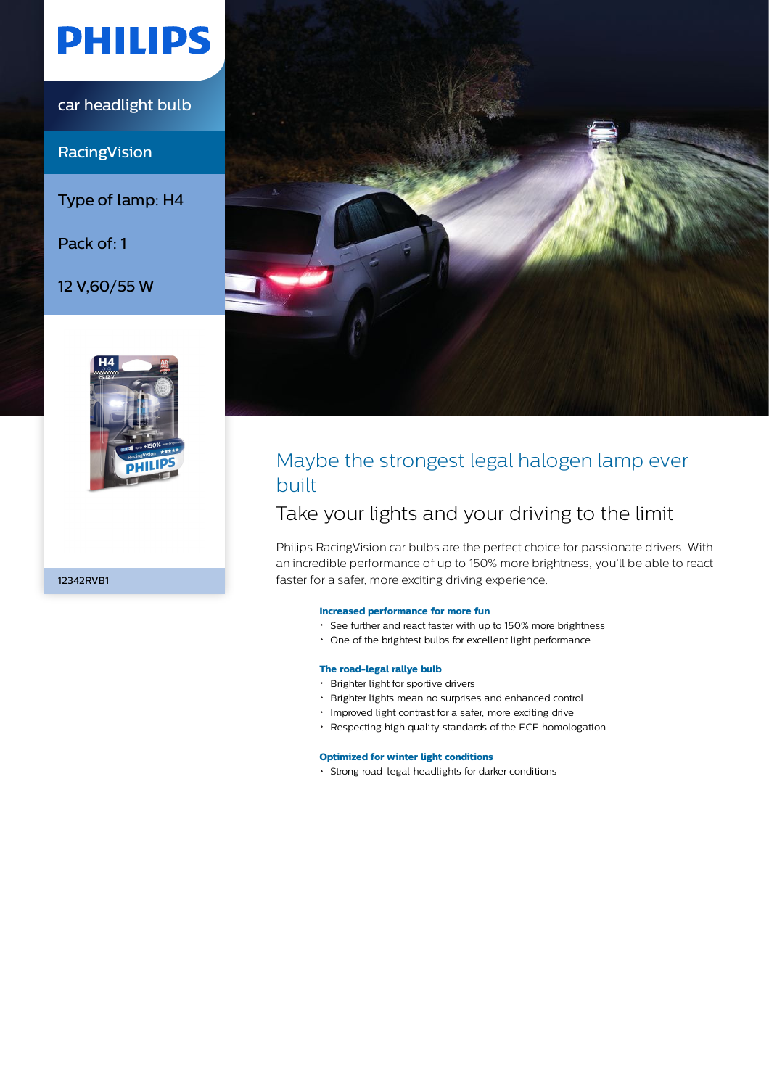# **PHILIPS**

car headlight bulb

**RacingVision** 

Type of lamp: H4

Pack of: 1

12 V,60/55 W



12342RVB1



## Maybe the strongest legal halogen lamp ever built

## Take your lights and your driving to the limit

Philips RacingVision car bulbs are the perfect choice for passionate drivers. With an incredible performance of up to 150% more brightness, you'll be able to react faster for a safer, more exciting driving experience.

#### **Increased performance for more fun**

- See further and react faster with up to 150% more brightness
- One of the brightest bulbs for excellent light performance

#### **The road-legal rallye bulb**

- Brighter light for sportive drivers
- Brighter lights mean no surprises and enhanced control
- Improved light contrast for a safer, more exciting drive
- Respecting high quality standards of the ECE homologation

#### **Optimized for winter light conditions**

Strong road-legal headlights for darker conditions